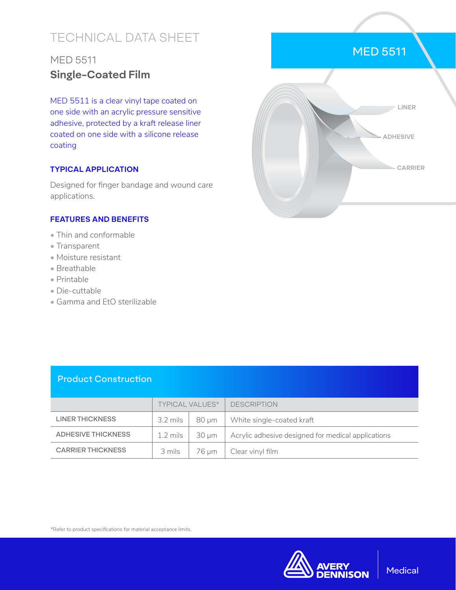# TECHNICAL DATA SHEET

## MED 5511 **Single-Coated Film**

MED 5511 is a clear vinyl tape coated on one side with an acrylic pressure sensitive adhesive, protected by a kraft release liner coated on one side with a silicone release coating

#### **TYPICAL APPLICATION**

Designed for finger bandage and wound care applications.

#### **FEATURES AND BENEFITS**

- Thin and conformable
- Transparent
- Moisture resistant
- Breathable
- Printable
- Die-cuttable
- Gamma and EtO sterilizable



### Product Construction

|                          | <b>TYPICAL VALUES*</b> |         | <b>DESCRIPTION</b>                                 |
|--------------------------|------------------------|---------|----------------------------------------------------|
| LINER THICKNESS          | 3.2 mils               | 80 um   | White single-coated kraft                          |
| ADHESIVE THICKNESS       | 1.2 mils               | – 30 um | Acrylic adhesive designed for medical applications |
| <b>CARRIER THICKNESS</b> | 3 mils                 | 76 µm   | Clear vinyl film                                   |

\*Refer to product specifications for material acceptance limits.